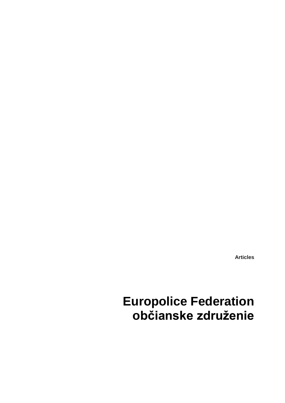**Articles**

# **Europolice Federation občianske združenie**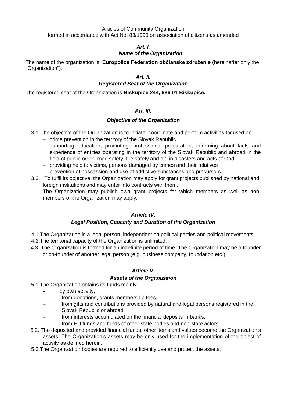#### Articles of Community Organization formed in accordance with Act No. 83/1990 on association of citizens as amended

# *Art. I.*

# *Name of the Organization*

The name of the organization is: **Europolice Federation občianske združenie** (hereinafter only the "Organization").

# *Art. II.*

## *Registered Seat of the Organization*

The registered seat of the Organization is **Biskupice 244, 986 01 Biskupice.**

# *Art. III.*

## *Objective of the Organization*

- 3.1.The objective of the Organization is to initiate, coordinate and perform activities focused on
	- crime prevention in the territory of the Slovak Republic
	- supporting education; promoting, professional preparation, informing about facts and experience of entities operating in the territory of the Slovak Republic and abroad in the field of public order, road safety, fire safety and aid in disasters and acts of God
	- providing help to victims, persons damaged by crimes and their relatives
	- prevention of possession and use of addictive substances and precursors.
- 3.3. To fulfil its objective, the Organization may apply for grant projects published by national and foreign institutions and may enter into contracts with them.

The Organization may publish own grant projects for which members as well as nonmembers of the Organization may apply.

## *Article IV.*

## *Legal Position, Capacity and Duration of the Organization*

- 4.1.The Organization is a legal person, independent on political parties and political movements. 4.2.The territorial capacity of the Organization is unlimited.
- 4.3. The Organization is formed for an indefinite period of time. The Organization may be a founder or co-founder of another legal person (e.g. business company, foundation etc.).

## *Article V.*

## *Assets of the Organization*

- 5.1.The Organization obtains its funds mainly:
	- by own activity,
	- from donations, grants membership fees,
	- from gifts and contributions provided by natural and legal persons registered in the Slovak Republic or abroad,
	- from interests accumulated on the financial deposits in banks,
	- from EU funds and funds of other state bodies and non-state actors.
- 5.2. The deposited and provided financial funds, other items and values become the Organization's assets. The Organization's assets may be only used for the implementation of the object of activity as defined herein.
- 5.3.The Organization bodies are required to efficiently use and protect the assets.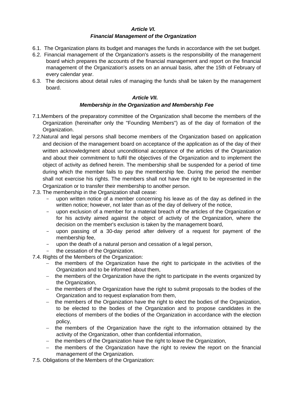#### *Article VI. Financial Management of the Organization*

- 6.1. The Organization plans its budget and manages the funds in accordance with the set budget.
- 6.2. Financial management of the Organization's assets is the responsibility of the management board which prepares the accounts of the financial management and report on the financial management of the Organization's assets on an annual basis, after the 15th of February of every calendar year.
- 6.3. The decisions about detail rules of managing the funds shall be taken by the management board.

#### *Article VII.*

#### *Membership in the Organization and Membership Fee*

- 7.1.Members of the preparatory committee of the Organization shall become the members of the Organization (hereinafter only the "Founding Members") as of the day of formation of the Organization.
- 7.2.Natural and legal persons shall become members of the Organization based on application and decision of the management board on acceptance of the application as of the day of their written acknowledgment about unconditional acceptance of the articles of the Organization and about their commitment to fulfil the objectives of the Organization and to implement the object of activity as defined herein. The membership shall be suspended for a period of time during which the member fails to pay the membership fee. During the period the member shall not exercise his rights. The members shall not have the right to be represented in the Organization or to transfer their membership to another person.
- 7.3. The membership in the Organization shall cease:
	- upon written notice of a member concerning his leave as of the day as defined in the written notice; however, not later than as of the day of delivery of the notice,
	- upon exclusion of a member for a material breach of the articles of the Organization or for his activity aimed against the object of activity of the Organization, where the decision on the member's exclusion is taken by the management board,
	- upon passing of a 30-day period after delivery of a request for payment of the membership fee,
	- upon the death of a natural person and cessation of a legal person,
	- the cessation of the Organization.
- 7.4. Rights of the Members of the Organization:
	- $-$  the members of the Organization have the right to participate in the activities of the Organization and to be informed about them,
	- the members of the Organization have the right to participate in the events organized by the Organization,
	- the members of the Organization have the right to submit proposals to the bodies of the Organization and to request explanation from them,
	- the members of the Organization have the right to elect the bodies of the Organization, to be elected to the bodies of the Organization and to propose candidates in the elections of members of the bodies of the Organization in accordance with the election policy,
	- the members of the Organization have the right to the information obtained by the activity of the Organization, other than confidential information,
	- the members of the Organization have the right to leave the Organization,
	- the members of the Organization have the right to review the report on the financial management of the Organization.
- 7.5. Obligations of the Members of the Organization: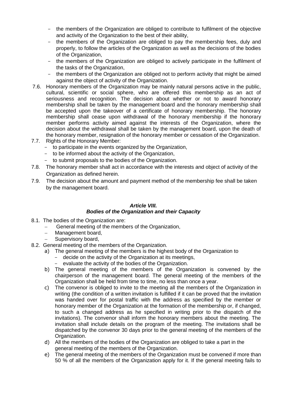- the members of the Organization are obliged to contribute to fulfilment of the objective and activity of the Organization to the best of their ability,
- the members of the Organization are obliged to pay the membership fees, duly and properly, to follow the articles of the Organization as well as the decisions of the bodies of the Organization,
- the members of the Organization are obliged to actively participate in the fulfilment of the tasks of the Organization,
- the members of the Organization are obliged not to perform activity that might be aimed against the object of activity of the Organization.
- 7.6. Honorary members of the Organization may be mainly natural persons active in the public, cultural, scientific or social sphere, who are offered this membership as an act of seriousness and recognition. The decision about whether or not to award honorary membership shall be taken by the management board and the honorary membership shall be accepted upon the takeover of a certificate of honorary membership. The honorary membership shall cease upon withdrawal of the honorary membership if the honorary member performs activity aimed against the interests of the Organization, where the decision about the withdrawal shall be taken by the management board, upon the death of the honorary member, resignation of the honorary member or cessation of the Organization.
- 7.7. Rights of the Honorary Member:
	- to participate in the events organized by the Organization,
	- to be informed about the activity of the Organization,
	- to submit proposals to the bodies of the Organization.
- 7.8. The honorary member shall act in accordance with the interests and object of activity of the Organization as defined herein.
- 7.9. The decision about the amount and payment method of the membership fee shall be taken by the management board.

#### *Article VIII. Bodies of the Organization and their Capacity*

- 8.1. The bodies of the Organization are:
	- General meeting of the members of the Organization,
	- Management board,
		- Supervisory board,
- 8.2. General meeting of the members of the Organization.
	- a) The general meeting of the members is the highest body of the Organization to
		- decide on the activity of the Organization at its meetings,
		- evaluate the activity of the bodies of the Organization.
	- b) The general meeting of the members of the Organization is convened by the chairperson of the management board. The general meeting of the members of the Organization shall be held from time to time, no less than once a year.
	- c) The convenor is obliged to invite to the meeting all the members of the Organization in writing (the condition of a written invitation is fulfilled if it can be proved that the invitation was handed over for postal traffic with the address as specified by the member or honorary member of the Organization at the formation of the membership or, if changed, to such a changed address as he specified in writing prior to the dispatch of the invitations). The convenor shall inform the honorary members about the meeting. The invitation shall include details on the program of the meeting. The invitations shall be dispatched by the convenor 30 days prior to the general meeting of the members of the Organization.
	- d) All the members of the bodies of the Organization are obliged to take a part in the general meeting of the members of the Organization.
	- e) The general meeting of the members of the Organization must be convened if more than 50 % of all the members of the Organization apply for it. If the general meeting fails to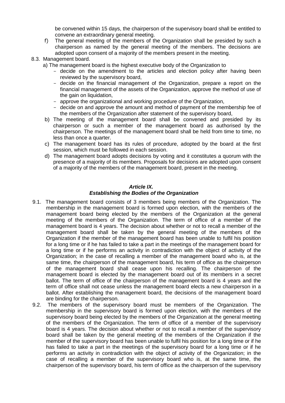be convened within 15 days, the chairperson of the supervisory board shall be entitled to convene an extraordinary general meeting.

- f) The general meeting of the members of the Organization shall be presided by such a chairperson as named by the general meeting of the members. The decisions are adopted upon consent of a majority of the members present in the meeting.
- 8.3. Management board.
	- a) The management board is the highest executive body of the Organization to
		- decide on the amendment to the articles and election policy after having been reviewed by the supervisory board,
		- decide on the financial management of the Organization, prepare a report on the financial management of the assets of the Organization, approve the method of use of the gain on liquidation,
		- approve the organizational and working procedure of the Organization,
		- decide on and approve the amount and method of payment of the membership fee of the members of the Organization after statement of the supervisory board,
		- b) The meeting of the management board shall be convened and presided by its chairperson or such a member of the management board as authorised by the chairperson. The meetings of the management board shall be held from time to time, no less than once a quarter.
		- c) The management board has its rules of procedure, adopted by the board at the first session, which must be followed in each session.
		- d) The management board adopts decisions by voting and it constitutes a quorum with the presence of a majority of its members. Proposals for decisions are adopted upon consent of a majority of the members of the management board, present in the meeting.

# *Article IX.*

## *Establishing the Bodies of the Organization*

- 9.1. The management board consists of 3 members being members of the Organization. The membership in the management board is formed upon election, with the members of the management board being elected by the members of the Organization at the general meeting of the members of the Organization. The term of office of a member of the management board is 4 years. The decision about whether or not to recall a member of the management board shall be taken by the general meeting of the members of the Organization if the member of the management board has been unable to fulfil his position for a long time or if he has failed to take a part in the meetings of the management board for a long time or if he performs an activity in contradiction with the object of activity of the Organization; in the case of recalling a member of the management board who is, at the same time, the chairperson of the management board, his term of office as the chairperson of the management board shall cease upon his recalling. The chairperson of the management board is elected by the management board out of its members in a secret ballot. The term of office of the chairperson of the management board is 4 years and the term of office shall not cease unless the management board elects a new chairperson in a ballot. After establishing the management board, the decisions of the management board are binding for the chairperson.
- 9.2. The members of the supervisory board must be members of the Organization. The membership in the supervisory board is formed upon election, with the members of the supervisory board being elected by the members of the Organization at the general meeting of the members of the Organization. The term of office of a member of the supervisory board is 4 years. The decision about whether or not to recall a member of the supervisory board shall be taken by the general meeting of the members of the Organization if the member of the supervisory board has been unable to fulfil his position for a long time or if he has failed to take a part in the meetings of the supervisory board for a long time or if he performs an activity in contradiction with the object of activity of the Organization; in the case of recalling a member of the supervisory board who is, at the same time, the chairperson of the supervisory board, his term of office as the chairperson of the supervisory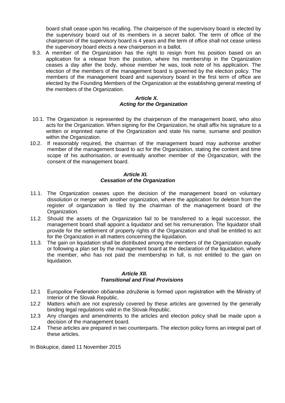board shall cease upon his recalling. The chairperson of the supervisory board is elected by the supervisory board out of its members in a secret ballot. The term of office of the chairperson of the supervisory board is 4 years and the term of office shall not cease unless the supervisory board elects a new chairperson in a ballot.

9.3. A member of the Organization has the right to resign from his position based on an application for a release from the position, where his membership in the Organization ceases a day after the body, whose member he was, took note of his application. The election of the members of the management board is governed by the election policy. The members of the management board and supervisory board in the first term of office are elected by the Founding Members of the Organization at the establishing general meeting of the members of the Organization.

#### *Article X. Acting for the Organization*

- 10.1. The Organization is represented by the chairperson of the management board, who also acts for the Organization. When signing for the Organization, he shall affix his signature to a written or imprinted name of the Organization and state his name, surname and position within the Organization.
- 10.2. If reasonably required, the chairman of the management board may authorise another member of the management board to act for the Organization, stating the content and time scope of his authorisation, or eventually another member of the Organization, with the consent of the management board.

#### *Article XI. Cessation of the Organization*

- 11.1. The Organization ceases upon the decision of the management board on voluntary dissolution or merger with another organization, where the application for deletion from the register of organization is filed by the chairman of the management board of the Organization.
- 11.2. Should the assets of the Organization fail to be transferred to a legal successor, the management board shall appoint a liquidator and set his remuneration. The liquidator shall provide for the settlement of property rights of the Organization and shall be entitled to act for the Organization in all matters concerning the liquidation.
- 11.3. The gain on liquidation shall be distributed among the members of the Organization equally or following a plan set by the management board at the declaration of the liquidation, where the member, who has not paid the membership in full, is not entitled to the gain on liquidation.

#### *Article XII. Transitional and Final Provisions*

- 12.1 Europolice Federation občianske združenie is formed upon registration with the Ministry of Interior of the Slovak Republic.
- 12.2 Matters which are not expressly covered by these articles are governed by the generally binding legal regulations valid in the Slovak Republic.
- 12.3 Any changes and amendments to the articles and election policy shall be made upon a decision of the management board.
- 12.4 These articles are prepared in two counterparts. The election policy forms an integral part of these articles.

In Biskupice, dated 11 November 2015